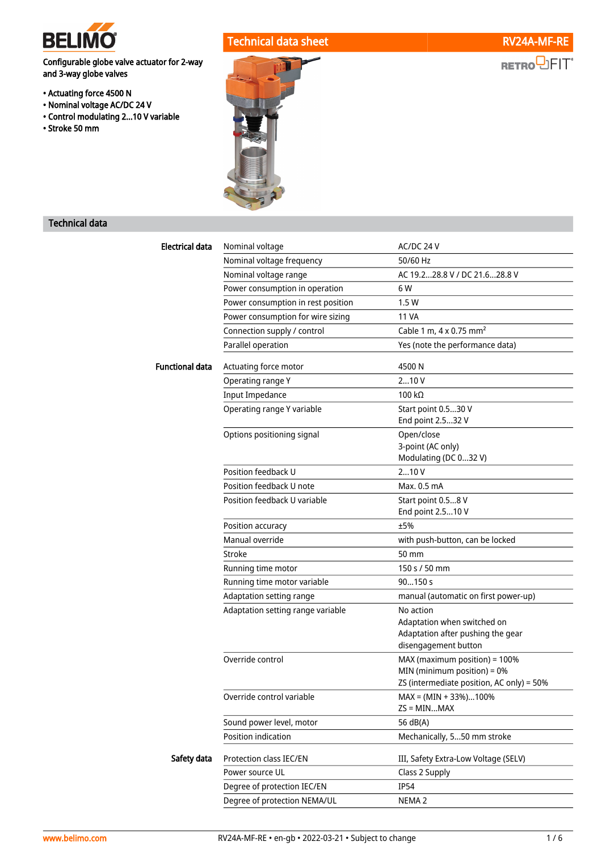

Configurable globe valve actuator for 2-way and 3-way globe valves

- Actuating force 4500 N
- Nominal voltage AC/DC 24 V
- Control modulating 2...10 V variable
- Stroke 50 mm

# Technical data sheet RV24A-MF-RE





## Technical data

| Electrical data        | Nominal voltage                    | AC/DC 24 V                                                                                                |  |  |
|------------------------|------------------------------------|-----------------------------------------------------------------------------------------------------------|--|--|
|                        | Nominal voltage frequency          | 50/60 Hz                                                                                                  |  |  |
|                        | Nominal voltage range              | AC 19.228.8 V / DC 21.628.8 V                                                                             |  |  |
|                        | Power consumption in operation     | 6 W                                                                                                       |  |  |
|                        | Power consumption in rest position | 1.5 W                                                                                                     |  |  |
|                        | Power consumption for wire sizing  | <b>11 VA</b>                                                                                              |  |  |
|                        | Connection supply / control        | Cable 1 m, 4 x 0.75 mm <sup>2</sup>                                                                       |  |  |
|                        | Parallel operation                 | Yes (note the performance data)                                                                           |  |  |
| <b>Functional data</b> | Actuating force motor              | 4500N                                                                                                     |  |  |
|                        | Operating range Y                  | 210V                                                                                                      |  |  |
|                        | <b>Input Impedance</b>             | 100 kΩ                                                                                                    |  |  |
|                        | Operating range Y variable         | Start point 0.530 V<br>End point 2.532 V                                                                  |  |  |
|                        | Options positioning signal         | Open/close<br>3-point (AC only)<br>Modulating (DC 032 V)                                                  |  |  |
|                        | Position feedback U                | 210V                                                                                                      |  |  |
|                        | Position feedback U note           | Max. 0.5 mA                                                                                               |  |  |
|                        | Position feedback U variable       | Start point 0.58 V<br>End point 2.510 V                                                                   |  |  |
|                        | Position accuracy                  | ±5%                                                                                                       |  |  |
|                        | Manual override                    | with push-button, can be locked                                                                           |  |  |
|                        | Stroke                             | 50 mm                                                                                                     |  |  |
|                        | Running time motor                 | 150 s / 50 mm                                                                                             |  |  |
|                        | Running time motor variable        | 90150s                                                                                                    |  |  |
|                        | Adaptation setting range           | manual (automatic on first power-up)                                                                      |  |  |
|                        | Adaptation setting range variable  | No action<br>Adaptation when switched on<br>Adaptation after pushing the gear<br>disengagement button     |  |  |
|                        | Override control                   | MAX (maximum position) = 100%<br>MIN (minimum position) = 0%<br>ZS (intermediate position, AC only) = 50% |  |  |
|                        | Override control variable          | $MAX = (MIN + 33\%).100\%$<br>$ZS = MINMAX$                                                               |  |  |
|                        | Sound power level, motor           | 56 dB(A)                                                                                                  |  |  |
|                        | Position indication                | Mechanically, 550 mm stroke                                                                               |  |  |
| Safety data            | Protection class IEC/EN            | III, Safety Extra-Low Voltage (SELV)                                                                      |  |  |
|                        | Power source UL                    | Class 2 Supply                                                                                            |  |  |
|                        | Degree of protection IEC/EN        | <b>IP54</b>                                                                                               |  |  |
|                        | Degree of protection NEMA/UL       | NEMA <sub>2</sub>                                                                                         |  |  |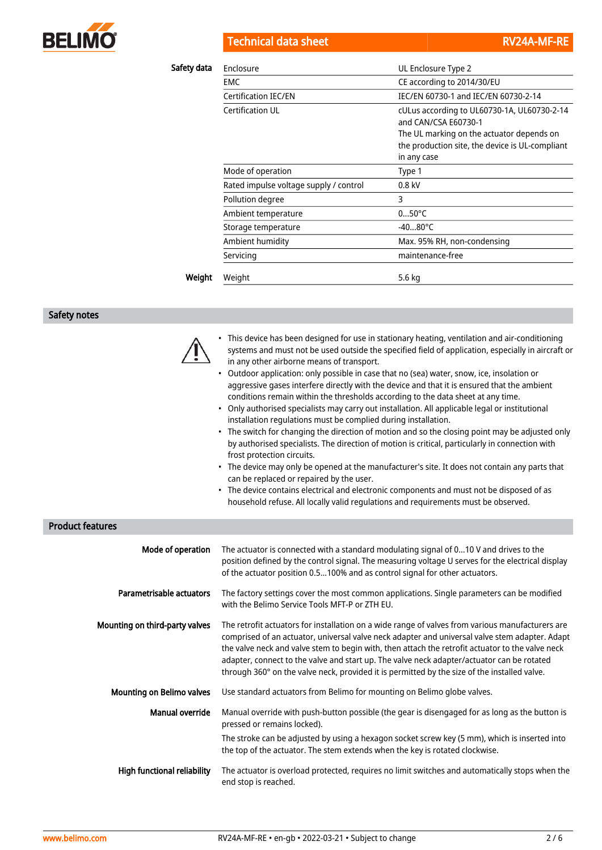

Technical data sheet **RV24A-MF-RE** 

| Safety data | Enclosure                              | UL Enclosure Type 2                                                                                                                                                                          |  |  |
|-------------|----------------------------------------|----------------------------------------------------------------------------------------------------------------------------------------------------------------------------------------------|--|--|
|             | <b>EMC</b>                             | CE according to 2014/30/EU                                                                                                                                                                   |  |  |
|             | Certification IEC/EN                   | IEC/EN 60730-1 and IEC/EN 60730-2-14                                                                                                                                                         |  |  |
|             | Certification UL                       | cULus according to UL60730-1A, UL60730-2-14<br>and CAN/CSA F60730-1<br>The UL marking on the actuator depends on<br>the production site, the device is UL-compliant<br>in any case<br>Type 1 |  |  |
|             | Mode of operation                      |                                                                                                                                                                                              |  |  |
|             | Rated impulse voltage supply / control | $0.8$ kV                                                                                                                                                                                     |  |  |
|             | Pollution degree                       | 3                                                                                                                                                                                            |  |  |
|             | Ambient temperature                    | $050^{\circ}$ C                                                                                                                                                                              |  |  |
|             | Storage temperature                    | $-4080^{\circ}$ C                                                                                                                                                                            |  |  |
|             | Ambient humidity                       | Max. 95% RH, non-condensing                                                                                                                                                                  |  |  |
|             | Servicing                              | maintenance-free                                                                                                                                                                             |  |  |
| Weight      | Weight                                 | 5.6 kg                                                                                                                                                                                       |  |  |

## Safety notes



• This device has been designed for use in stationary heating, ventilation and air-conditioning systems and must not be used outside the specified field of application, especially in aircraft or in any other airborne means of transport.

- Outdoor application: only possible in case that no (sea) water, snow, ice, insolation or aggressive gases interfere directly with the device and that it is ensured that the ambient conditions remain within the thresholds according to the data sheet at any time.
- Only authorised specialists may carry out installation. All applicable legal or institutional installation regulations must be complied during installation.
- The switch for changing the direction of motion and so the closing point may be adjusted only by authorised specialists. The direction of motion is critical, particularly in connection with frost protection circuits.
- The device may only be opened at the manufacturer's site. It does not contain any parts that can be replaced or repaired by the user.
- The device contains electrical and electronic components and must not be disposed of as household refuse. All locally valid regulations and requirements must be observed.

## Product features

| Mode of operation                | The actuator is connected with a standard modulating signal of 010 V and drives to the<br>position defined by the control signal. The measuring voltage U serves for the electrical display<br>of the actuator position 0.5100% and as control signal for other actuators.                                                                                                                                                                                                                           |
|----------------------------------|------------------------------------------------------------------------------------------------------------------------------------------------------------------------------------------------------------------------------------------------------------------------------------------------------------------------------------------------------------------------------------------------------------------------------------------------------------------------------------------------------|
| Parametrisable actuators         | The factory settings cover the most common applications. Single parameters can be modified<br>with the Belimo Service Tools MFT-P or ZTH EU.                                                                                                                                                                                                                                                                                                                                                         |
| Mounting on third-party valves   | The retrofit actuators for installation on a wide range of valves from various manufacturers are<br>comprised of an actuator, universal valve neck adapter and universal valve stem adapter. Adapt<br>the valve neck and valve stem to begin with, then attach the retrofit actuator to the valve neck<br>adapter, connect to the valve and start up. The valve neck adapter/actuator can be rotated<br>through 360° on the valve neck, provided it is permitted by the size of the installed valve. |
| <b>Mounting on Belimo valves</b> | Use standard actuators from Belimo for mounting on Belimo globe valves.                                                                                                                                                                                                                                                                                                                                                                                                                              |
| Manual override                  | Manual override with push-button possible (the gear is disengaged for as long as the button is<br>pressed or remains locked).                                                                                                                                                                                                                                                                                                                                                                        |
|                                  | The stroke can be adjusted by using a hexagon socket screw key (5 mm), which is inserted into<br>the top of the actuator. The stem extends when the key is rotated clockwise.                                                                                                                                                                                                                                                                                                                        |
| High functional reliability      | The actuator is overload protected, requires no limit switches and automatically stops when the<br>end stop is reached.                                                                                                                                                                                                                                                                                                                                                                              |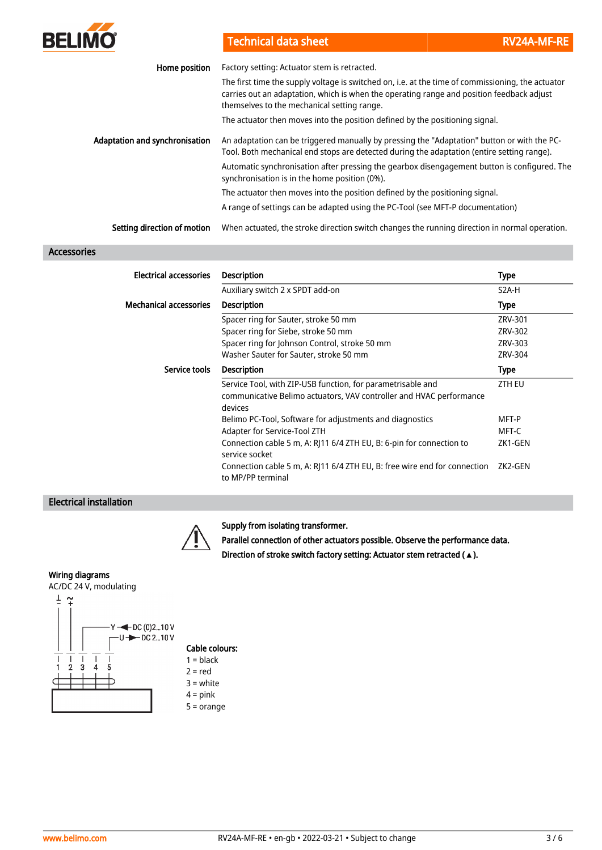

Technical data sheet **RV24A-MF-RE** 

| Home position                         | Factory setting: Actuator stem is retracted.                                                                                                                                                                                                  |
|---------------------------------------|-----------------------------------------------------------------------------------------------------------------------------------------------------------------------------------------------------------------------------------------------|
|                                       | The first time the supply voltage is switched on, i.e. at the time of commissioning, the actuator<br>carries out an adaptation, which is when the operating range and position feedback adjust<br>themselves to the mechanical setting range. |
|                                       | The actuator then moves into the position defined by the positioning signal.                                                                                                                                                                  |
| <b>Adaptation and synchronisation</b> | An adaptation can be triggered manually by pressing the "Adaptation" button or with the PC-<br>Tool. Both mechanical end stops are detected during the adaptation (entire setting range).                                                     |
|                                       | Automatic synchronisation after pressing the gearbox disengagement button is configured. The<br>synchronisation is in the home position (0%).                                                                                                 |
|                                       | The actuator then moves into the position defined by the positioning signal.                                                                                                                                                                  |
|                                       | A range of settings can be adapted using the PC-Tool (see MFT-P documentation)                                                                                                                                                                |
| Setting direction of motion           | When actuated, the stroke direction switch changes the running direction in normal operation.                                                                                                                                                 |

## Accessories

| Electrical accessories        | <b>Description</b>                                                                                                                            | Type               |
|-------------------------------|-----------------------------------------------------------------------------------------------------------------------------------------------|--------------------|
|                               | Auxiliary switch 2 x SPDT add-on                                                                                                              | S <sub>2</sub> A-H |
| <b>Mechanical accessories</b> | <b>Description</b>                                                                                                                            | <b>Type</b>        |
|                               | Spacer ring for Sauter, stroke 50 mm                                                                                                          | ZRV-301            |
|                               | Spacer ring for Siebe, stroke 50 mm                                                                                                           | ZRV-302            |
|                               | Spacer ring for Johnson Control, stroke 50 mm                                                                                                 | ZRV-303            |
|                               | Washer Sauter for Sauter, stroke 50 mm                                                                                                        | ZRV-304            |
| Service tools                 | <b>Description</b>                                                                                                                            | <b>Type</b>        |
|                               | Service Tool, with ZIP-USB function, for parametrisable and<br>communicative Belimo actuators, VAV controller and HVAC performance<br>devices | ZTH EU             |
|                               | Belimo PC-Tool, Software for adjustments and diagnostics                                                                                      | MFT-P              |
|                               | Adapter for Service-Tool ZTH                                                                                                                  | MFT-C              |
|                               | Connection cable 5 m, A: RJ11 6/4 ZTH EU, B: 6-pin for connection to<br>service socket                                                        | ZK1-GEN            |
|                               | Connection cable 5 m, A: RJ11 6/4 ZTH EU, B: free wire end for connection<br>to MP/PP terminal                                                | ZK2-GEN            |

## Electrical installation



## Supply from isolating transformer.

Parallel connection of other actuators possible. Observe the performance data. Direction of stroke switch factory setting: Actuator stem retracted (**▲**).

#### Wiring diagrams



# Cable colours:

- $1 = **black**$  $2 = red$
- 3 = white
- $4 = pink$
- 5 = orange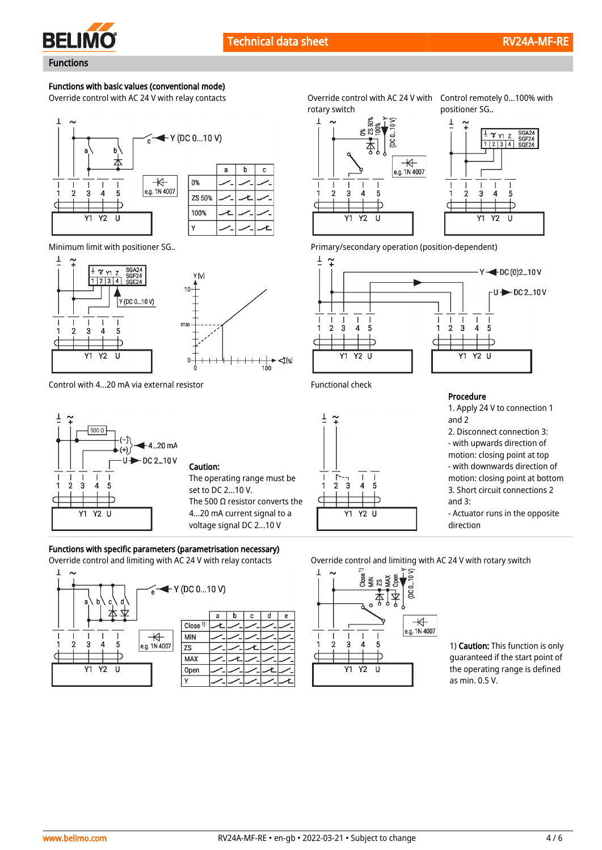

c

# Functions with basic values (conventional mode)

Override control with AC 24 V with relay contacts





Control with 4...20 mA via external resistor Functional check



## Caution:

The operating range must be set to DC 2...10 V. The 500  $\Omega$  resistor converts the 4...20 mA current signal to a voltage signal DC 2...10 V

## Functions with specific parameters (parametrisation necessary)



|                    | a | C | e |
|--------------------|---|---|---|
| Close <sup>1</sup> |   |   |   |
| <b>MIN</b>         |   |   |   |
| <b>ZS</b>          |   |   |   |
| MAX                |   |   |   |
| Open               |   |   |   |
|                    |   |   |   |

rotary switch

Override control with AC 24 V with Control remotely 0...100% with positioner SG..



Minimum limit with positioner SG.. entitled and the set of the Primary/secondary operation (position-dependent)





Procedure

1. Apply 24 V to connection 1 and 2 2. Disconnect connection 3: and 3:

- with upwards direction of motion: closing point at top

- with downwards direction of motion: closing point at bottom 3. Short circuit connections 2

- Actuator runs in the opposite direction

Override control and limiting with AC 24 V with relay contacts Override control and limiting with AC 24 V with rotary switch



1) Caution: This function is only guaranteed if the start point of the operating range is defined as min. 0.5 V.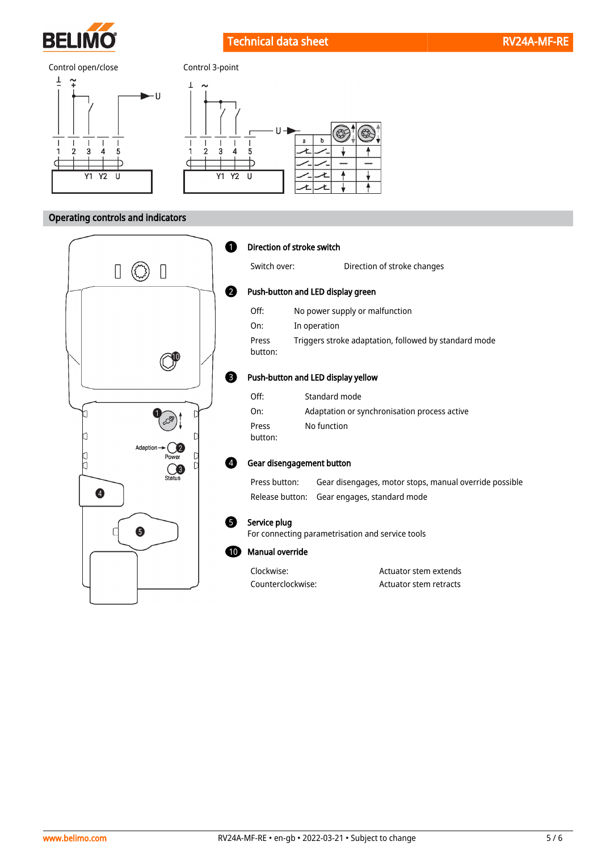

Technical data sheet **RV24A-MF-RE** 



## Operating controls and indicators